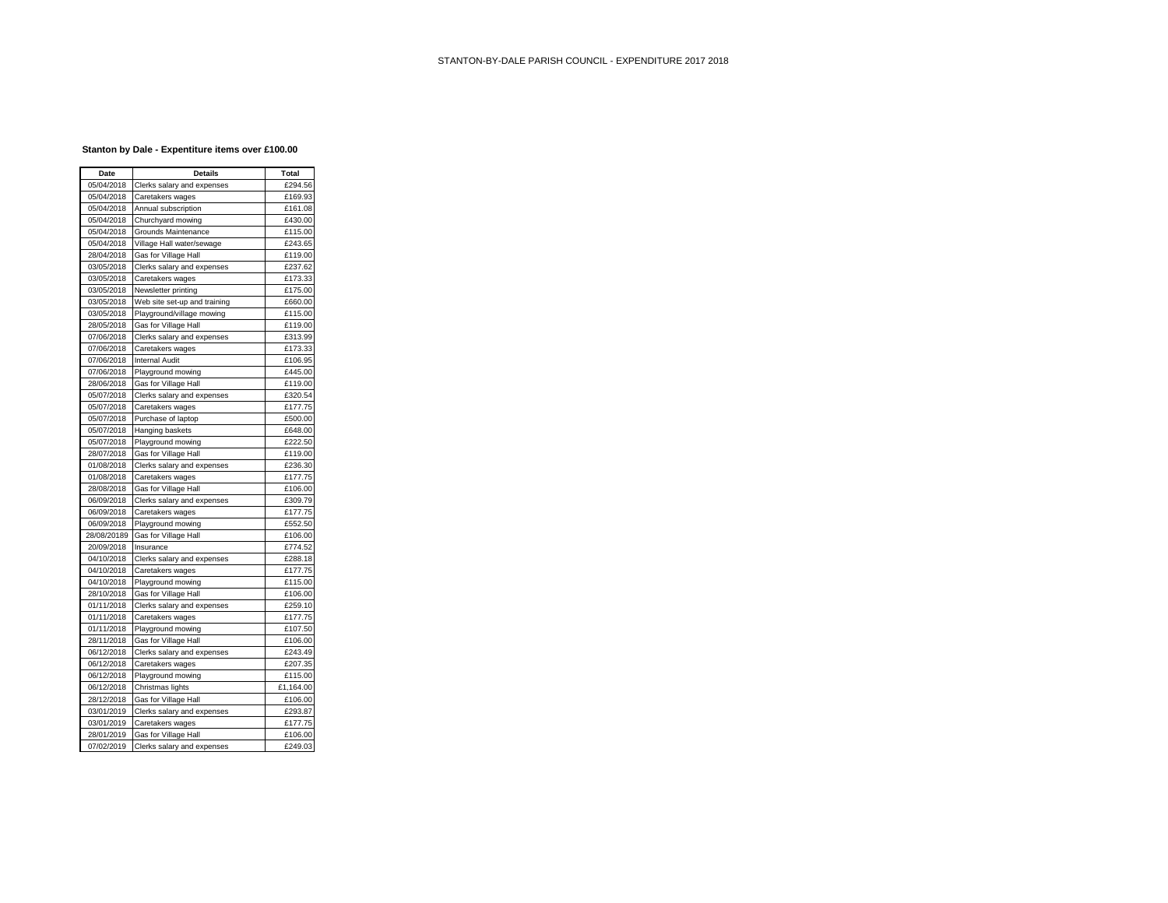## **Stanton by Dale - Expentiture items over £100.00**

| Date        | <b>Details</b>               | Total     |
|-------------|------------------------------|-----------|
| 05/04/2018  | Clerks salary and expenses   | £294.56   |
| 05/04/2018  | Caretakers wages             | £169.93   |
| 05/04/2018  | Annual subscription          | £161.08   |
| 05/04/2018  | Churchyard mowing            | £430.00   |
| 05/04/2018  | Grounds Maintenance          | £115.00   |
| 05/04/2018  | Village Hall water/sewage    | £243.65   |
| 28/04/2018  | Gas for Village Hall         | £119.00   |
| 03/05/2018  | Clerks salary and expenses   | £237.62   |
| 03/05/2018  | Caretakers wages             | £173.33   |
| 03/05/2018  | Newsletter printing          | £175.00   |
| 03/05/2018  | Web site set-up and training | £660.00   |
| 03/05/2018  | Playground/village mowing    | £115.00   |
| 28/05/2018  | Gas for Village Hall         | £119.00   |
| 07/06/2018  | Clerks salary and expenses   | £313.99   |
| 07/06/2018  | Caretakers wages             | £173.33   |
| 07/06/2018  | <b>Internal Audit</b>        | £106.95   |
| 07/06/2018  | Playground mowing            | £445.00   |
| 28/06/2018  | Gas for Village Hall         | £119.00   |
| 05/07/2018  | Clerks salary and expenses   | £320.54   |
| 05/07/2018  | Caretakers wages             | £177.75   |
| 05/07/2018  | Purchase of laptop           | £500.00   |
| 05/07/2018  | Hanging baskets              | £648.00   |
| 05/07/2018  | Playground mowing            | £222.50   |
| 28/07/2018  | Gas for Village Hall         | £119.00   |
| 01/08/2018  | Clerks salary and expenses   | £236.30   |
| 01/08/2018  | Caretakers wages             | £177.75   |
| 28/08/2018  | Gas for Village Hall         | £106.00   |
| 06/09/2018  | Clerks salary and expenses   | £309.79   |
| 06/09/2018  | Caretakers wages             | £177.75   |
| 06/09/2018  | Playground mowing            | £552.50   |
| 28/08/20189 | Gas for Village Hall         | £106.00   |
| 20/09/2018  | Insurance                    | £774.52   |
| 04/10/2018  | Clerks salary and expenses   | £288.18   |
| 04/10/2018  | Caretakers wages             | £177.75   |
| 04/10/2018  | Playground mowing            | £115.00   |
| 28/10/2018  | Gas for Village Hall         | £106.00   |
| 01/11/2018  | Clerks salary and expenses   | £259.10   |
| 01/11/2018  | Caretakers wages             | £177.75   |
| 01/11/2018  | Playground mowing            | £107.50   |
| 28/11/2018  | Gas for Village Hall         | £106.00   |
| 06/12/2018  | Clerks salary and expenses   | £243.49   |
| 06/12/2018  | Caretakers wages             | £207.35   |
| 06/12/2018  | Playground mowing            | £115.00   |
| 06/12/2018  | Christmas lights             | £1,164.00 |
| 28/12/2018  | Gas for Village Hall         | £106.00   |
| 03/01/2019  | Clerks salary and expenses   | £293.87   |
| 03/01/2019  | Caretakers wages             | £177.75   |
| 28/01/2019  | Gas for Village Hall         | £106.00   |
| 07/02/2019  | Clerks salary and expenses   | £249.03   |